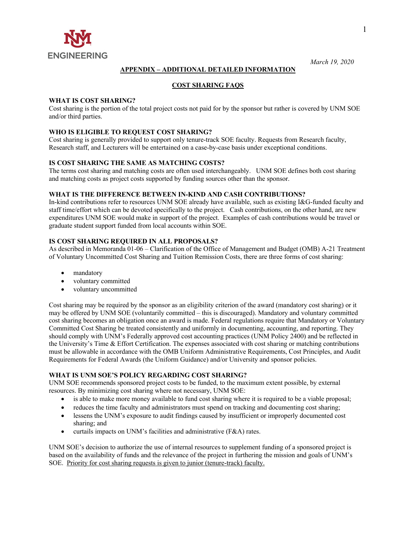

# **APPENDIX – ADDITIONAL DETAILED INFORMATION**

## **COST SHARING FAQS**

### **WHAT IS COST SHARING?**

Cost sharing is the portion of the total project costs not paid for by the sponsor but rather is covered by UNM SOE and/or third parties.

## **WHO IS ELIGIBLE TO REQUEST COST SHARING?**

Cost sharing is generally provided to support only tenure-track SOE faculty. Requests from Research faculty, Research staff, and Lecturers will be entertained on a case-by-case basis under exceptional conditions.

#### **IS COST SHARING THE SAME AS MATCHING COSTS?**

The terms cost sharing and matching costs are often used interchangeably. UNM SOE defines both cost sharing and matching costs as project costs supported by funding sources other than the sponsor.

#### **WHAT IS THE DIFFERENCE BETWEEN IN-KIND AND CASH CONTRIBUTIONS?**

In-kind contributions refer to resources UNM SOE already have available, such as existing I&G-funded faculty and staff time/effort which can be devoted specifically to the project. Cash contributions, on the other hand, are new expenditures UNM SOE would make in support of the project. Examples of cash contributions would be travel or graduate student support funded from local accounts within SOE.

#### **IS COST SHARING REQUIRED IN ALL PROPOSALS?**

As described in Memoranda 01-06 – Clarification of the Office of Management and Budget (OMB) A-21 Treatment of Voluntary Uncommitted Cost Sharing and Tuition Remission Costs, there are three forms of cost sharing:

- mandatory
- voluntary committed
- voluntary uncommitted

Cost sharing may be required by the sponsor as an eligibility criterion of the award (mandatory cost sharing) or it may be offered by UNM SOE (voluntarily committed – this is discouraged). Mandatory and voluntary committed cost sharing becomes an obligation once an award is made. Federal regulations require that Mandatory or Voluntary Committed Cost Sharing be treated consistently and uniformly in documenting, accounting, and reporting. They should comply with UNM's Federally approved cost accounting practices (UNM Policy 2400) and be reflected in the University's Time & Effort Certification. The expenses associated with cost sharing or matching contributions must be allowable in accordance with the OMB Uniform Administrative Requirements, Cost Principles, and Audit Requirements for Federal Awards (the Uniform Guidance) and/or University and sponsor policies.

#### **WHAT IS UNM SOE'S POLICY REGARDING COST SHARING?**

UNM SOE recommends sponsored project costs to be funded, to the maximum extent possible, by external resources. By minimizing cost sharing where not necessary, UNM SOE:

- is able to make more money available to fund cost sharing where it is required to be a viable proposal;
- reduces the time faculty and administrators must spend on tracking and documenting cost sharing;
- lessens the UNM's exposure to audit findings caused by insufficient or improperly documented cost sharing; and
- curtails impacts on UNM's facilities and administrative (F&A) rates.

UNM SOE's decision to authorize the use of internal resources to supplement funding of a sponsored project is based on the availability of funds and the relevance of the project in furthering the mission and goals of UNM's SOE. Priority for cost sharing requests is given to junior (tenure-track) faculty.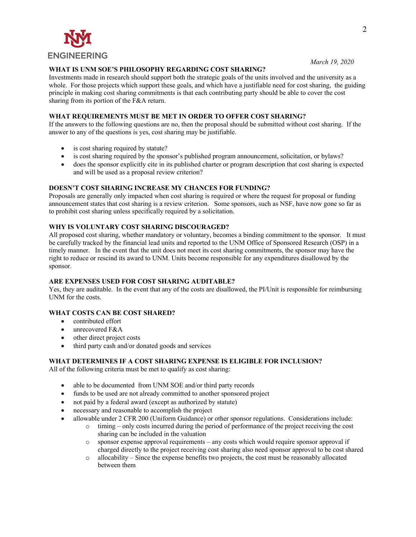

## **WHAT IS UNM SOE'S PHILOSOPHY REGARDING COST SHARING?**

Investments made in research should support both the strategic goals of the units involved and the university as a whole. For those projects which support these goals, and which have a justifiable need for cost sharing, the guiding principle in making cost sharing commitments is that each contributing party should be able to cover the cost sharing from its portion of the F&A return.

## **WHAT REQUIREMENTS MUST BE MET IN ORDER TO OFFER COST SHARING?**

If the answers to the following questions are no, then the proposal should be submitted without cost sharing. If the answer to any of the questions is yes, cost sharing may be justifiable.

- is cost sharing required by statute?
- is cost sharing required by the sponsor's published program announcement, solicitation, or bylaws?
- does the sponsor explicitly cite in its published charter or program description that cost sharing is expected and will be used as a proposal review criterion?

## **DOESN'T COST SHARING INCREASE MY CHANCES FOR FUNDING?**

Proposals are generally only impacted when cost sharing is required or where the request for proposal or funding announcement states that cost sharing is a review criterion. Some sponsors, such as NSF, have now gone so far as to prohibit cost sharing unless specifically required by a solicitation.

## **WHY IS VOLUNTARY COST SHARING DISCOURAGED?**

All proposed cost sharing, whether mandatory or voluntary, becomes a binding commitment to the sponsor. It must be carefully tracked by the financial lead units and reported to the UNM Office of Sponsored Research (OSP) in a timely manner. In the event that the unit does not meet its cost sharing commitments, the sponsor may have the right to reduce or rescind its award to UNM. Units become responsible for any expenditures disallowed by the sponsor.

## **ARE EXPENSES USED FOR COST SHARING AUDITABLE?**

Yes, they are auditable. In the event that any of the costs are disallowed, the PI/Unit is responsible for reimbursing UNM for the costs.

# **WHAT COSTS CAN BE COST SHARED?**

- contributed effort
- unrecovered F&A
- other direct project costs
- third party cash and/or donated goods and services

## **WHAT DETERMINES IF A COST SHARING EXPENSE IS ELIGIBLE FOR INCLUSION?**

All of the following criteria must be met to qualify as cost sharing:

- able to be documented from UNM SOE and/or third party records
- funds to be used are not already committed to another sponsored project
- not paid by a federal award (except as authorized by statute)
- necessary and reasonable to accomplish the project
- allowable under 2 CFR 200 (Uniform Guidance) or other sponsor regulations. Considerations include:
	- o timing only costs incurred during the period of performance of the project receiving the cost sharing can be included in the valuation
	- $\circ$  sponsor expense approval requirements any costs which would require sponsor approval if charged directly to the project receiving cost sharing also need sponsor approval to be cost shared
	- $\circ$  allocability Since the expense benefits two projects, the cost must be reasonably allocated between them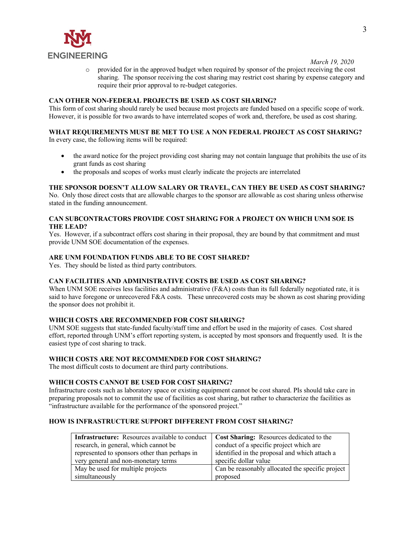

o provided for in the approved budget when required by sponsor of the project receiving the cost sharing. The sponsor receiving the cost sharing may restrict cost sharing by expense category and require their prior approval to re-budget categories.

## **CAN OTHER NON-FEDERAL PROJECTS BE USED AS COST SHARING?**

This form of cost sharing should rarely be used because most projects are funded based on a specific scope of work. However, it is possible for two awards to have interrelated scopes of work and, therefore, be used as cost sharing.

# **WHAT REQUIREMENTS MUST BE MET TO USE A NON FEDERAL PROJECT AS COST SHARING?**

In every case, the following items will be required:

- the award notice for the project providing cost sharing may not contain language that prohibits the use of its grant funds as cost sharing
- the proposals and scopes of works must clearly indicate the projects are interrelated

## **THE SPONSOR DOESN'T ALLOW SALARY OR TRAVEL, CAN THEY BE USED AS COST SHARING?**

No. Only those direct costs that are allowable charges to the sponsor are allowable as cost sharing unless otherwise stated in the funding announcement.

#### **CAN SUBCONTRACTORS PROVIDE COST SHARING FOR A PROJECT ON WHICH UNM SOE IS THE LEAD?**

Yes. However, if a subcontract offers cost sharing in their proposal, they are bound by that commitment and must provide UNM SOE documentation of the expenses.

#### **ARE UNM FOUNDATION FUNDS ABLE TO BE COST SHARED?**

Yes. They should be listed as third party contributors.

#### **CAN FACILITIES AND ADMINISTRATIVE COSTS BE USED AS COST SHARING?**

When UNM SOE receives less facilities and administrative (F&A) costs than its full federally negotiated rate, it is said to have foregone or unrecovered F&A costs. These unrecovered costs may be shown as cost sharing providing the sponsor does not prohibit it.

#### **WHICH COSTS ARE RECOMMENDED FOR COST SHARING?**

UNM SOE suggests that state-funded faculty/staff time and effort be used in the majority of cases. Cost shared effort, reported through UNM's effort reporting system, is accepted by most sponsors and frequently used. It is the easiest type of cost sharing to track.

## **WHICH COSTS ARE NOT RECOMMENDED FOR COST SHARING?**

The most difficult costs to document are third party contributions.

#### **WHICH COSTS CANNOT BE USED FOR COST SHARING?**

Infrastructure costs such as laboratory space or existing equipment cannot be cost shared. PIs should take care in preparing proposals not to commit the use of facilities as cost sharing, but rather to characterize the facilities as "infrastructure available for the performance of the sponsored project."

## **HOW IS INFRASTRUCTURE SUPPORT DIFFERENT FROM COST SHARING?**

| <b>Infrastructure:</b> Resources available to conduct | <b>Cost Sharing:</b> Resources dedicated to the  |
|-------------------------------------------------------|--------------------------------------------------|
| research, in general, which cannot be                 | conduct of a specific project which are          |
| represented to sponsors other than perhaps in         | identified in the proposal and which attach a    |
| very general and non-monetary terms                   | specific dollar value                            |
| May be used for multiple projects                     | Can be reasonably allocated the specific project |
| simultaneously                                        | proposed                                         |